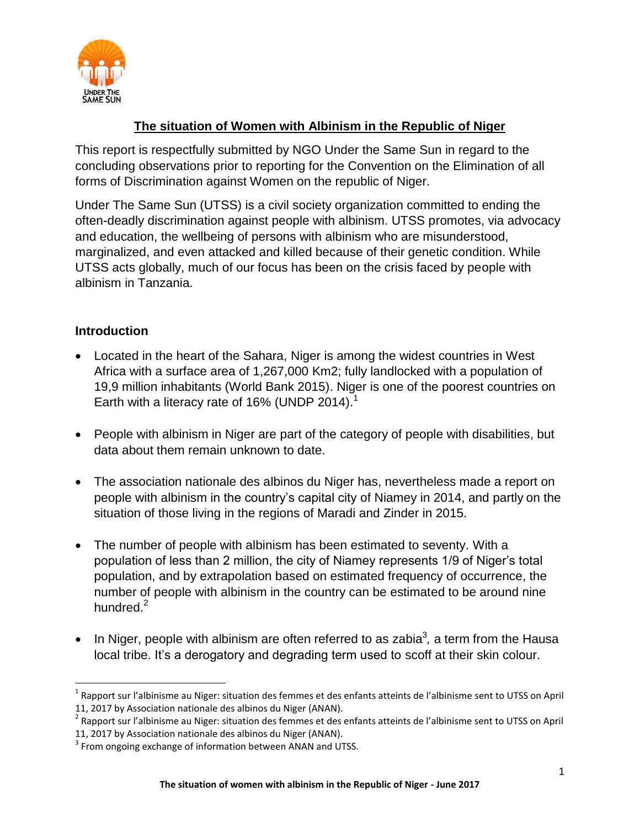

# **The situation of Women with Albinism in the Republic of Niger**

This report is respectfully submitted by NGO Under the Same Sun in regard to the concluding observations prior to reporting for the Convention on the Elimination of all forms of Discrimination against Women on the republic of Niger.

Under The Same Sun (UTSS) is a civil society organization committed to ending the often-deadly discrimination against people with albinism. UTSS promotes, via advocacy and education, the wellbeing of persons with albinism who are misunderstood, marginalized, and even attacked and killed because of their genetic condition. While UTSS acts globally, much of our focus has been on the crisis faced by people with albinism in Tanzania.

## **Introduction**

l

- Located in the heart of the Sahara, Niger is among the widest countries in West Africa with a surface area of 1,267,000 Km2; fully landlocked with a population of 19,9 million inhabitants (World Bank 2015). Niger is one of the poorest countries on Earth with a literacy rate of 16% (UNDP 2014).<sup>1</sup>
- People with albinism in Niger are part of the category of people with disabilities, but data about them remain unknown to date.
- The association nationale des albinos du Niger has, nevertheless made a report on people with albinism in the country's capital city of Niamey in 2014, and partly on the situation of those living in the regions of Maradi and Zinder in 2015.
- The number of people with albinism has been estimated to seventy. With a population of less than 2 million, the city of Niamey represents 1/9 of Niger's total population, and by extrapolation based on estimated frequency of occurrence, the number of people with albinism in the country can be estimated to be around nine hundred.<sup>2</sup>
- $\bullet$  In Niger, people with albinism are often referred to as zabia<sup>3</sup>, a term from the Hausa local tribe. It's a derogatory and degrading term used to scoff at their skin colour.

<sup>&</sup>lt;sup>1</sup> Rapport sur l'albinisme au Niger: situation des femmes et des enfants atteints de l'albinisme sent to UTSS on April 11, 2017 by Association nationale des albinos du Niger (ANAN).

<sup>&</sup>lt;sup>2</sup> Rapport sur l'albinisme au Niger: situation des femmes et des enfants atteints de l'albinisme sent to UTSS on April 11, 2017 by Association nationale des albinos du Niger (ANAN).

 $3$  From ongoing exchange of information between ANAN and UTSS.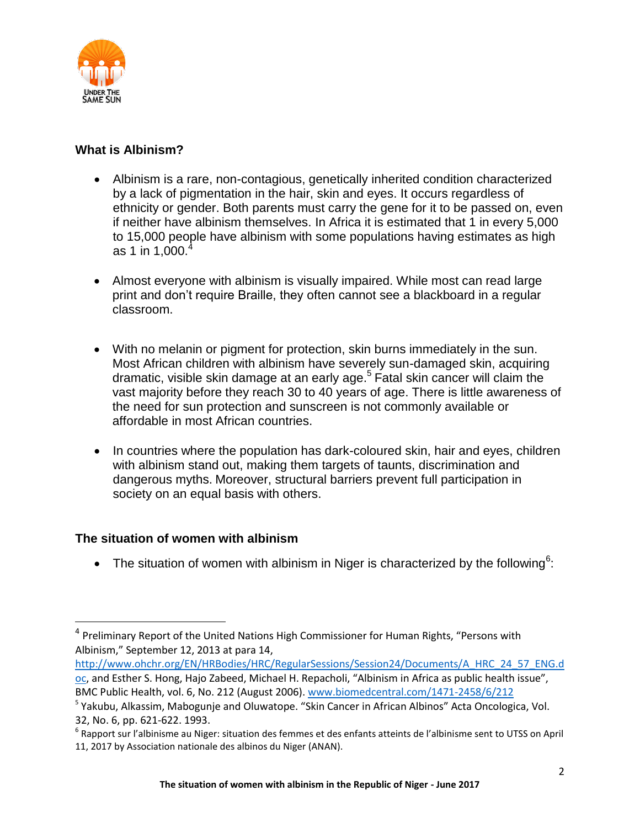

### **What is Albinism?**

- Albinism is a rare, non-contagious, genetically inherited condition characterized by a lack of pigmentation in the hair, skin and eyes. It occurs regardless of ethnicity or gender. Both parents must carry the gene for it to be passed on, even if neither have albinism themselves. In Africa it is estimated that 1 in every 5,000 to 15,000 people have albinism with some populations having estimates as high as 1 in 1,000. $4$
- Almost everyone with albinism is visually impaired. While most can read large print and don't require Braille, they often cannot see a blackboard in a regular classroom.
- With no melanin or pigment for protection, skin burns immediately in the sun. Most African children with albinism have severely sun-damaged skin, acquiring dramatic, visible skin damage at an early age. 5 Fatal skin cancer will claim the vast majority before they reach 30 to 40 years of age. There is little awareness of the need for sun protection and sunscreen is not commonly available or affordable in most African countries.
- In countries where the population has dark-coloured skin, hair and eyes, children with albinism stand out, making them targets of taunts, discrimination and dangerous myths. Moreover, structural barriers prevent full participation in society on an equal basis with others.

### **The situation of women with albinism**

l

• The situation of women with albinism in Niger is characterized by the following<sup>6</sup>:

<sup>&</sup>lt;sup>4</sup> Preliminary Report of the United Nations High Commissioner for Human Rights, "Persons with Albinism," September 12, 2013 at para 14,

[http://www.ohchr.org/EN/HRBodies/HRC/RegularSessions/Session24/Documents/A\\_HRC\\_24\\_57\\_ENG.d](http://www.ohchr.org/EN/HRBodies/HRC/RegularSessions/Session24/Documents/A_HRC_24_57_ENG.doc) [oc](http://www.ohchr.org/EN/HRBodies/HRC/RegularSessions/Session24/Documents/A_HRC_24_57_ENG.doc), and Esther S. Hong, Hajo Zabeed, Michael H. Repacholi, "Albinism in Africa as public health issue", BMC Public Health, vol. 6, No. 212 (August 2006)[. www.biomedcentral.com/1471-2458/6/212](http://www.biomedcentral.com/1471-2458/6/212)

<sup>&</sup>lt;sup>5</sup> Yakubu, Alkassim, Mabogunje and Oluwatope. "Skin Cancer in African Albinos" Acta Oncologica, Vol. 32, No. 6, pp. 621-622. 1993.

 $^6$  Rapport sur l'albinisme au Niger: situation des femmes et des enfants atteints de l'albinisme sent to UTSS on April 11, 2017 by Association nationale des albinos du Niger (ANAN).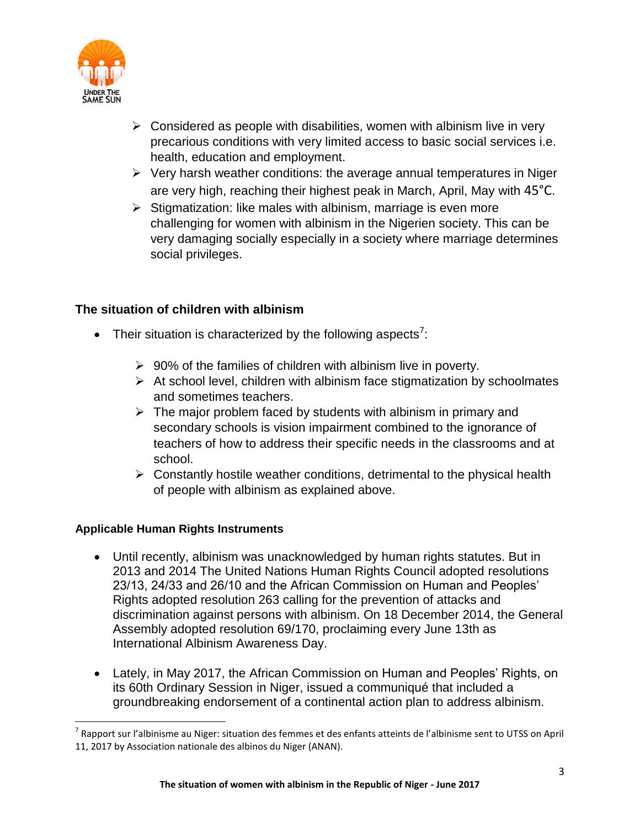

- $\triangleright$  Considered as people with disabilities, women with albinism live in very precarious conditions with very limited access to basic social services i.e. health, education and employment.
- $\triangleright$  Very harsh weather conditions: the average annual temperatures in Niger are very high, reaching their highest peak in March, April, May with 45°C.
- $\triangleright$  Stigmatization: like males with albinism, marriage is even more challenging for women with albinism in the Nigerien society. This can be very damaging socially especially in a society where marriage determines social privileges.

### **The situation of children with albinism**

- Their situation is characterized by the following aspects<sup>7</sup>:
	- $\geq 90\%$  of the families of children with albinism live in poverty.
	- $\triangleright$  At school level, children with albinism face stigmatization by schoolmates and sometimes teachers.
	- $\triangleright$  The major problem faced by students with albinism in primary and secondary schools is vision impairment combined to the ignorance of teachers of how to address their specific needs in the classrooms and at school.
	- $\triangleright$  Constantly hostile weather conditions, detrimental to the physical health of people with albinism as explained above.

### **Applicable Human Rights Instruments**

l

- Until recently, albinism was unacknowledged by human rights statutes. But in 2013 and 2014 The United Nations Human Rights Council adopted resolutions 23/13, 24/33 and 26/10 and the African Commission on Human and Peoples' Rights adopted resolution 263 calling for the prevention of attacks and discrimination against persons with albinism. On 18 December 2014, the General Assembly adopted resolution 69/170, proclaiming every June 13th as International Albinism Awareness Day.
- Lately, in May 2017, the African Commission on Human and Peoples' Rights, on its 60th Ordinary Session in Niger, issued a communiqué that included a groundbreaking endorsement of a continental action plan to address albinism.

<sup>&</sup>lt;sup>7</sup> Rapport sur l'albinisme au Niger: situation des femmes et des enfants atteints de l'albinisme sent to UTSS on April 11, 2017 by Association nationale des albinos du Niger (ANAN).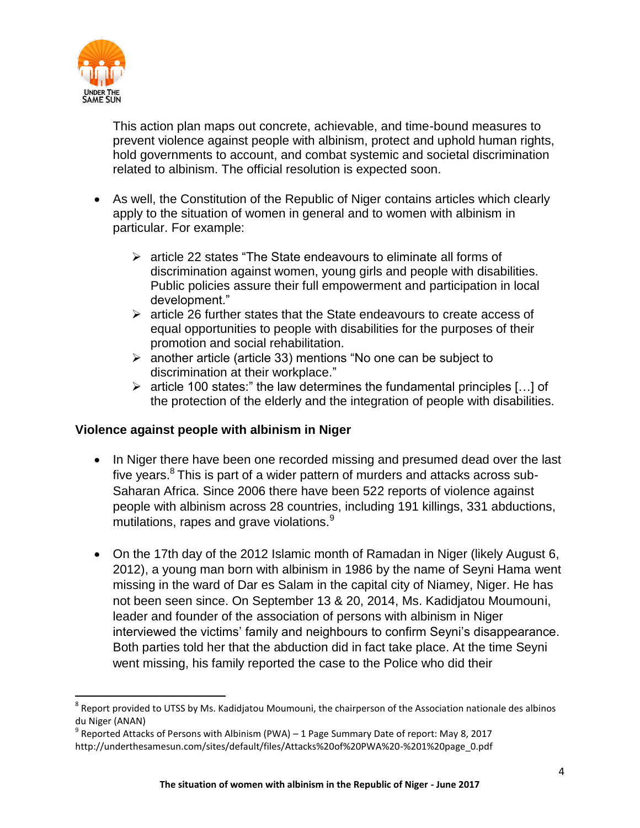

 $\overline{a}$ 

This action plan maps out concrete, achievable, and time-bound measures to prevent violence against people with albinism, protect and uphold human rights, hold governments to account, and combat systemic and societal discrimination related to albinism. The official resolution is expected soon.

- As well, the Constitution of the Republic of Niger contains articles which clearly apply to the situation of women in general and to women with albinism in particular. For example:
	- $\triangleright$  article 22 states "The State endeavours to eliminate all forms of discrimination against women, young girls and people with disabilities. Public policies assure their full empowerment and participation in local development."
	- $\triangleright$  article 26 further states that the State endeavours to create access of equal opportunities to people with disabilities for the purposes of their promotion and social rehabilitation.
	- $\triangleright$  another article (article 33) mentions "No one can be subject to discrimination at their workplace."
	- $\triangleright$  article 100 states:" the law determines the fundamental principles [...] of the protection of the elderly and the integration of people with disabilities.

### **Violence against people with albinism in Niger**

- In Niger there have been one recorded missing and presumed dead over the last five years.<sup>8</sup> This is part of a wider pattern of murders and attacks across sub-Saharan Africa. Since 2006 there have been 522 reports of violence against people with albinism across 28 countries, including 191 killings, 331 abductions, mutilations, rapes and grave violations. $9$
- On the 17th day of the 2012 Islamic month of Ramadan in Niger (likely August 6, 2012), a young man born with albinism in 1986 by the name of Seyni Hama went missing in the ward of Dar es Salam in the capital city of Niamey, Niger. He has not been seen since. On September 13 & 20, 2014, Ms. Kadidjatou Moumouni, leader and founder of the association of persons with albinism in Niger interviewed the victims' family and neighbours to confirm Seyni's disappearance. Both parties told her that the abduction did in fact take place. At the time Seyni went missing, his family reported the case to the Police who did their

 $^8$  Report provided to UTSS by Ms. Kadidjatou Moumouni, the chairperson of the Association nationale des albinos du Niger (ANAN)

 $^{9}$  Reported Attacks of Persons with Albinism (PWA) – 1 Page Summary Date of report: May 8, 2017 http://underthesamesun.com/sites/default/files/Attacks%20of%20PWA%20-%201%20page\_0.pdf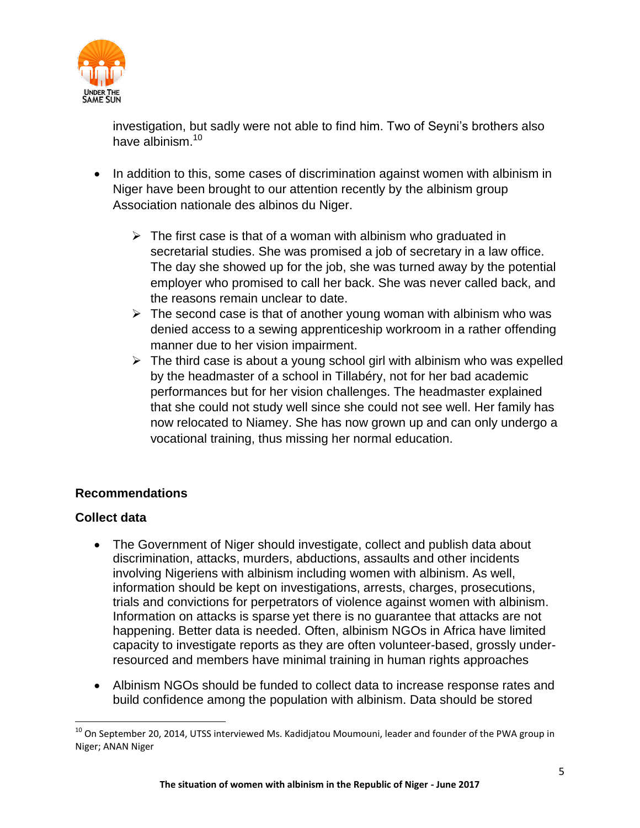

investigation, but sadly were not able to find him. Two of Seyni's brothers also have albinism  $10$ 

- In addition to this, some cases of discrimination against women with albinism in Niger have been brought to our attention recently by the albinism group Association nationale des albinos du Niger.
	- $\triangleright$  The first case is that of a woman with albinism who graduated in secretarial studies. She was promised a job of secretary in a law office. The day she showed up for the job, she was turned away by the potential employer who promised to call her back. She was never called back, and the reasons remain unclear to date.
	- $\triangleright$  The second case is that of another young woman with albinism who was denied access to a sewing apprenticeship workroom in a rather offending manner due to her vision impairment.
	- $\triangleright$  The third case is about a young school girl with albinism who was expelled by the headmaster of a school in Tillabéry, not for her bad academic performances but for her vision challenges. The headmaster explained that she could not study well since she could not see well. Her family has now relocated to Niamey. She has now grown up and can only undergo a vocational training, thus missing her normal education.

### **Recommendations**

### **Collect data**

l

- The Government of Niger should investigate, collect and publish data about discrimination, attacks, murders, abductions, assaults and other incidents involving Nigeriens with albinism including women with albinism. As well, information should be kept on investigations, arrests, charges, prosecutions, trials and convictions for perpetrators of violence against women with albinism. Information on attacks is sparse yet there is no guarantee that attacks are not happening. Better data is needed. Often, albinism NGOs in Africa have limited capacity to investigate reports as they are often volunteer-based, grossly underresourced and members have minimal training in human rights approaches
- Albinism NGOs should be funded to collect data to increase response rates and build confidence among the population with albinism. Data should be stored

 $10$  On September 20, 2014, UTSS interviewed Ms. Kadidjatou Moumouni, leader and founder of the PWA group in Niger; ANAN Niger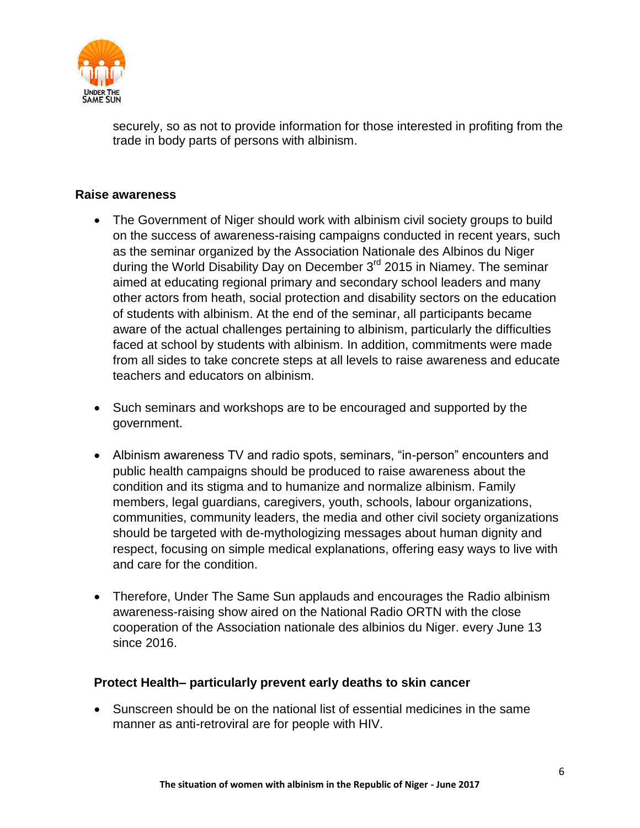

securely, so as not to provide information for those interested in profiting from the trade in body parts of persons with albinism.

#### **Raise awareness**

- The Government of Niger should work with albinism civil society groups to build on the success of awareness-raising campaigns conducted in recent years, such as the seminar organized by the Association Nationale des Albinos du Niger during the World Disability Day on December 3<sup>rd</sup> 2015 in Niamey. The seminar aimed at educating regional primary and secondary school leaders and many other actors from heath, social protection and disability sectors on the education of students with albinism. At the end of the seminar, all participants became aware of the actual challenges pertaining to albinism, particularly the difficulties faced at school by students with albinism. In addition, commitments were made from all sides to take concrete steps at all levels to raise awareness and educate teachers and educators on albinism.
- Such seminars and workshops are to be encouraged and supported by the government.
- Albinism awareness TV and radio spots, seminars, "in-person" encounters and public health campaigns should be produced to raise awareness about the condition and its stigma and to humanize and normalize albinism. Family members, legal guardians, caregivers, youth, schools, labour organizations, communities, community leaders, the media and other civil society organizations should be targeted with de-mythologizing messages about human dignity and respect, focusing on simple medical explanations, offering easy ways to live with and care for the condition.
- Therefore, Under The Same Sun applauds and encourages the Radio albinism awareness-raising show aired on the National Radio ORTN with the close cooperation of the Association nationale des albinios du Niger. every June 13 since 2016.

#### **Protect Health– particularly prevent early deaths to skin cancer**

 Sunscreen should be on the national list of essential medicines in the same manner as anti-retroviral are for people with HIV.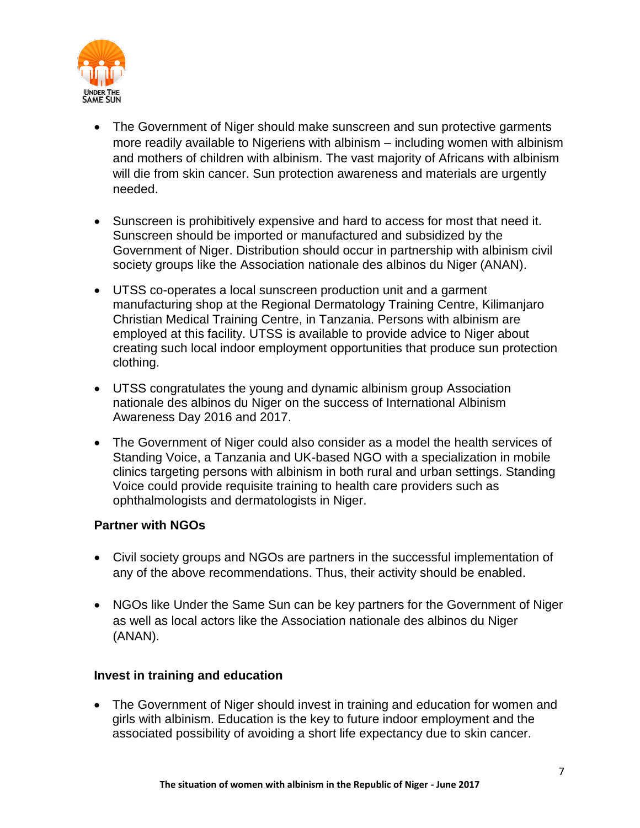

- The Government of Niger should make sunscreen and sun protective garments more readily available to Nigeriens with albinism – including women with albinism and mothers of children with albinism. The vast majority of Africans with albinism will die from skin cancer. Sun protection awareness and materials are urgently needed.
- Sunscreen is prohibitively expensive and hard to access for most that need it. Sunscreen should be imported or manufactured and subsidized by the Government of Niger. Distribution should occur in partnership with albinism civil society groups like the Association nationale des albinos du Niger (ANAN).
- UTSS co-operates a local sunscreen production unit and a garment manufacturing shop at the Regional Dermatology Training Centre, Kilimanjaro Christian Medical Training Centre, in Tanzania. Persons with albinism are employed at this facility. UTSS is available to provide advice to Niger about creating such local indoor employment opportunities that produce sun protection clothing.
- UTSS congratulates the young and dynamic albinism group Association nationale des albinos du Niger on the success of International Albinism Awareness Day 2016 and 2017.
- The Government of Niger could also consider as a model the health services of Standing Voice, a Tanzania and UK-based NGO with a specialization in mobile clinics targeting persons with albinism in both rural and urban settings. Standing Voice could provide requisite training to health care providers such as ophthalmologists and dermatologists in Niger.

### **Partner with NGOs**

- Civil society groups and NGOs are partners in the successful implementation of any of the above recommendations. Thus, their activity should be enabled.
- NGOs like Under the Same Sun can be key partners for the Government of Niger as well as local actors like the Association nationale des albinos du Niger (ANAN).

#### **Invest in training and education**

 The Government of Niger should invest in training and education for women and girls with albinism. Education is the key to future indoor employment and the associated possibility of avoiding a short life expectancy due to skin cancer.